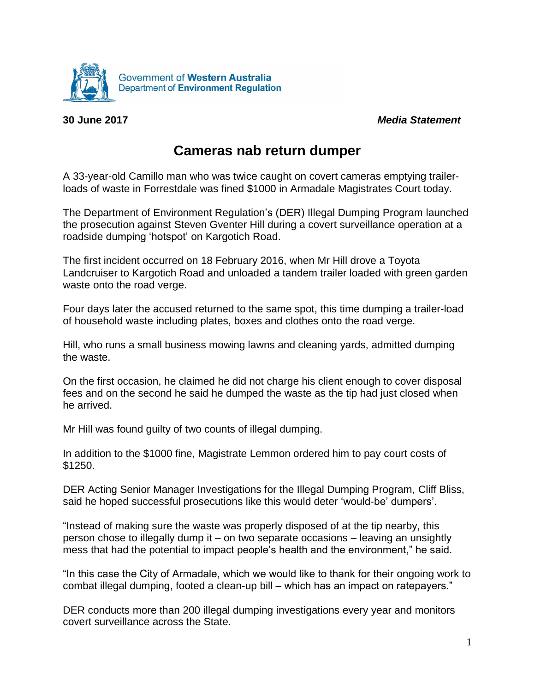

**30 June 2017** *Media Statement*

## **Cameras nab return dumper**

A 33-year-old Camillo man who was twice caught on covert cameras emptying trailerloads of waste in Forrestdale was fined \$1000 in Armadale Magistrates Court today.

The Department of Environment Regulation's (DER) Illegal Dumping Program launched the prosecution against Steven Gventer Hill during a covert surveillance operation at a roadside dumping 'hotspot' on Kargotich Road.

The first incident occurred on 18 February 2016, when Mr Hill drove a Toyota Landcruiser to Kargotich Road and unloaded a tandem trailer loaded with green garden waste onto the road verge.

Four days later the accused returned to the same spot, this time dumping a trailer-load of household waste including plates, boxes and clothes onto the road verge.

Hill, who runs a small business mowing lawns and cleaning yards, admitted dumping the waste.

On the first occasion, he claimed he did not charge his client enough to cover disposal fees and on the second he said he dumped the waste as the tip had just closed when he arrived.

Mr Hill was found guilty of two counts of illegal dumping.

In addition to the \$1000 fine, Magistrate Lemmon ordered him to pay court costs of \$1250.

DER Acting Senior Manager Investigations for the Illegal Dumping Program, Cliff Bliss, said he hoped successful prosecutions like this would deter 'would-be' dumpers'.

"Instead of making sure the waste was properly disposed of at the tip nearby, this person chose to illegally dump it – on two separate occasions – leaving an unsightly mess that had the potential to impact people's health and the environment," he said.

"In this case the City of Armadale, which we would like to thank for their ongoing work to combat illegal dumping, footed a clean-up bill – which has an impact on ratepayers."

DER conducts more than 200 illegal dumping investigations every year and monitors covert surveillance across the State.